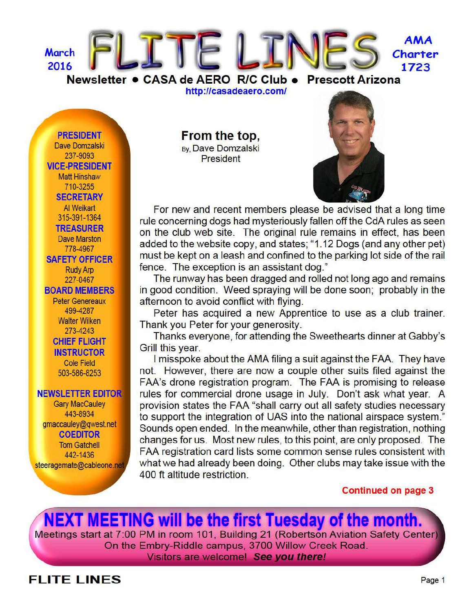

http://casadeaero.com/

**PRESIDENT** Dave Domzalski 237-9093 **VICE-PRESIDENT Matt Hinshaw** 710-3255 **SECRETARY** Al Weikart 315-391-1364 **TREASURER Dave Marston** 778-4967 **SAFETY OFFICER Rudy Arp** 227-0467 **BOARD MEMBERS Peter Genereaux** 499-4287 **Walter Wilken** 273-4243 **CHIEF FLIGHT INSTRUCTOR Cole Field** 503-586-8253

#### **NEWSLETTER EDITOR**

**Gary MacCauley** 443-8934 gmaccauley@gwest.net **COEDITOR Tom Gatchell** 442-1436 steeragemate@cableone.net From the top, By, Dave Domzalski **President** 



For new and recent members please be advised that a long time rule concerning dogs had mysteriously fallen off the CdA rules as seen on the club web site. The original rule remains in effect, has been added to the website copy, and states; "1.12 Dogs (and any other pet) must be kept on a leash and confined to the parking lot side of the rail fence. The exception is an assistant dog."

The runway has been dragged and rolled not long ago and remains in good condition. Weed spraying will be done soon; probably in the afternoon to avoid conflict with flying.

Peter has acquired a new Apprentice to use as a club trainer. Thank you Peter for your generosity.

Thanks everyone, for attending the Sweethearts dinner at Gabby's Grill this year.

I misspoke about the AMA filing a suit against the FAA. They have not. However, there are now a couple other suits filed against the FAA's drone registration program. The FAA is promising to release rules for commercial drone usage in July. Don't ask what year. A provision states the FAA "shall carry out all safety studies necessary to support the integration of UAS into the national airspace system." Sounds open ended. In the meanwhile, other than registration, nothing changes for us. Most new rules, to this point, are only proposed. The FAA registration card lists some common sense rules consistent with what we had already been doing. Other clubs may take issue with the 400 ft altitude restriction.

**Continued on page 3** 

**NEXT MEETING will be the first Tuesday of the month.** 

Meetings start at 7:00 PM in room 101, Building 21 (Robertson Aviation Safety Center) On the Embry-Riddle campus, 3700 Willow Creek Road. Visitors are welcome! See you there!

## **FLITE LINES**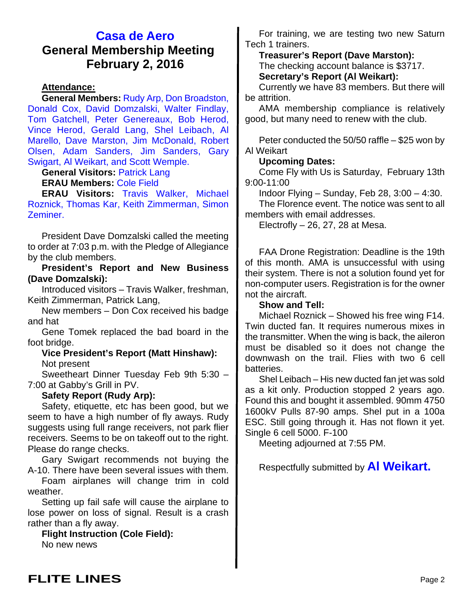## **Casa de Aero General Membership Meeting February 2, 2016**

#### **Attendance:**

**General Members:** Rudy Arp, Don Broadston, Donald Cox, David Domzalski, Walter Findlay, Tom Gatchell, Peter Genereaux, Bob Herod, Vince Herod, Gerald Lang, Shel Leibach, Al Marello, Dave Marston, Jim McDonald, Robert Olsen, Adam Sanders, Jim Sanders, Gary Swigart, Al Weikart, and Scott Wemple.

## **General Visitors:** Patrick Lang

**ERAU Members:** Cole Field

**ERAU Visitors:** Travis Walker, Michael Roznick, Thomas Kar, Keith Zimmerman, Simon Zeminer.

President Dave Domzalski called the meeting to order at 7:03 p.m. with the Pledge of Allegiance by the club members.

**President's Report and New Business (Dave Domzalski):**

Introduced visitors – Travis Walker, freshman, Keith Zimmerman, Patrick Lang,

New members – Don Cox received his badge and hat

Gene Tomek replaced the bad board in the foot bridge.

#### **Vice President's Report (Matt Hinshaw):** Not present

Sweetheart Dinner Tuesday Feb 9th 5:30 – 7:00 at Gabby's Grill in PV.

#### **Safety Report (Rudy Arp):**

Safety, etiquette, etc has been good, but we seem to have a high number of fly aways. Rudy suggests using full range receivers, not park flier receivers. Seems to be on takeoff out to the right. Please do range checks.

Gary Swigart recommends not buying the A-10. There have been several issues with them.

Foam airplanes will change trim in cold weather.

Setting up fail safe will cause the airplane to lose power on loss of signal. Result is a crash rather than a fly away.

**Flight Instruction (Cole Field):** No new news

For training, we are testing two new Saturn Tech 1 trainers.

**Treasurer's Report (Dave Marston):** The checking account balance is \$3717. **Secretary's Report (Al Weikart):**

Currently we have 83 members. But there will be attrition.

AMA membership compliance is relatively good, but many need to renew with the club.

Peter conducted the 50/50 raffle – \$25 won by Al Weikart

#### **Upcoming Dates:**

Come Fly with Us is Saturday, February 13th 9:00-11:00

Indoor Flying – Sunday, Feb 28, 3:00 – 4:30.

The Florence event. The notice was sent to all members with email addresses.

Electrofly  $-26$ , 27, 28 at Mesa.

FAA Drone Registration: Deadline is the 19th of this month. AMA is unsuccessful with using their system. There is not a solution found yet for non-computer users. Registration is for the owner not the aircraft.

#### **Show and Tell:**

Michael Roznick – Showed his free wing F14. Twin ducted fan. It requires numerous mixes in the transmitter. When the wing is back, the aileron must be disabled so it does not change the downwash on the trail. Flies with two 6 cell batteries.

Shel Leibach – His new ducted fan jet was sold as a kit only. Production stopped 2 years ago. Found this and bought it assembled. 90mm 4750 1600kV Pulls 87-90 amps. Shel put in a 100a ESC. Still going through it. Has not flown it yet. Single 6 cell 5000. F-100

Meeting adjourned at 7:55 PM.

Respectfully submitted by **Al Weikart.**

## **FLITE LINES** Page 2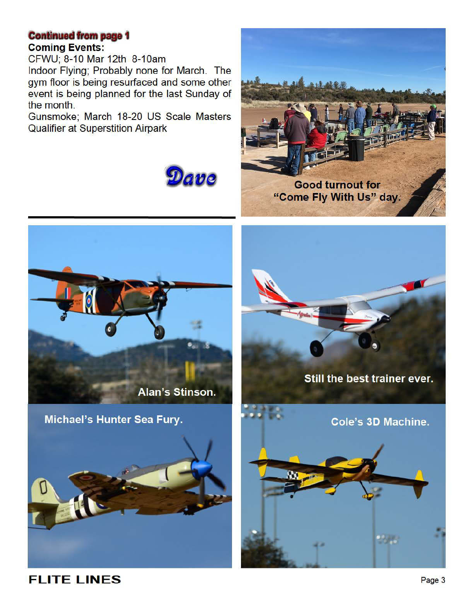### **Continued from page 1**

### **Coming Events:**

CFWU; 8-10 Mar 12th 8-10am

Indoor Flying; Probably none for March. The gym floor is being resurfaced and some other event is being planned for the last Sunday of the month.

Gunsmoke; March 18-20 US Scale Masters **Qualifier at Superstition Airpark** 





Still the best trainer ever.

Cole's 3D Machine.



**FLITE LINES** 

Page 3